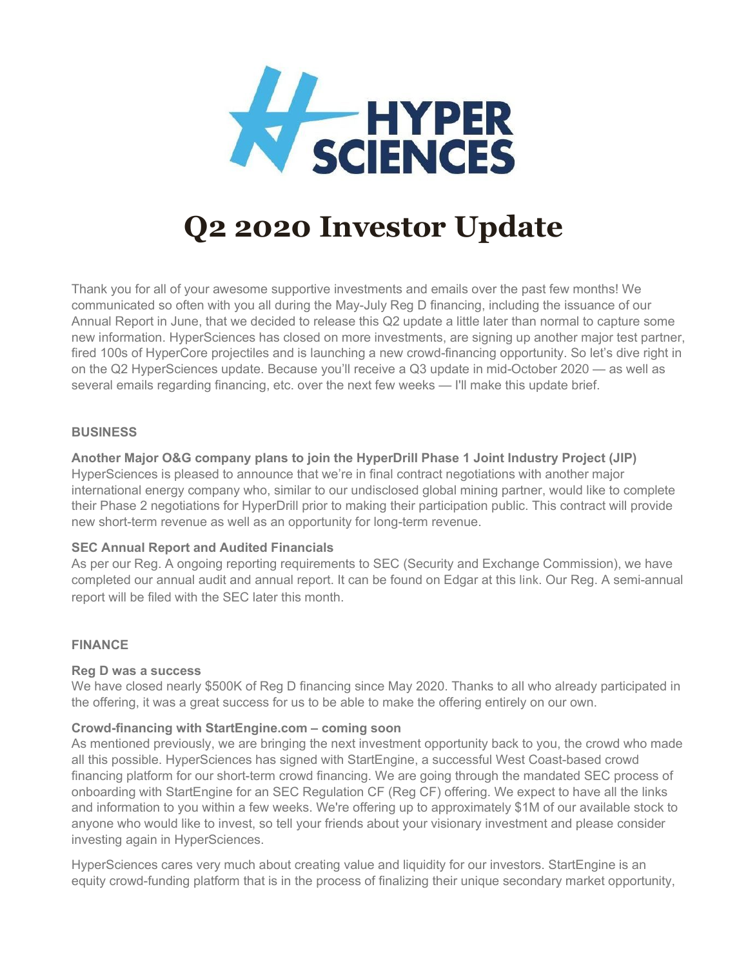

# **Q2 2020 Investor Update**

Thank you for all of your awesome supportive investments and emails over the past few months! We communicated so often with you all during the May-July Reg D financing, including the issuance of our Annual Report in June, that we decided to release this Q2 update a little later than normal to capture some new information. HyperSciences has closed on more investments, are signing up another major test partner, fired 100s of HyperCore projectiles and is launching a new crowd-financing opportunity. So let's dive right in on the Q2 HyperSciences update. Because you'll receive a Q3 update in mid-October 2020 — as well as several emails regarding financing, etc. over the next few weeks — I'll make this update brief.

## **BUSINESS**

## **Another Major O&G company plans to join the HyperDrill Phase 1 Joint Industry Project (JIP)**

HyperSciences is pleased to announce that we're in final contract negotiations with another major international energy company who, similar to our undisclosed global mining partner, would like to complete their Phase 2 negotiations for HyperDrill prior to making their participation public. This contract will provide new short-term revenue as well as an opportunity for long-term revenue.

## **SEC Annual Report and Audited Financials**

As per our Reg. A ongoing reporting requirements to SEC (Security and Exchange Commission), we have completed our annual audit and annual report. It can be found on Edgar at this [link](https://hypersciences.us19.list-manage.com/track/click?u=09e70588b615f891265e95026&id=7251c15a81&e=af1d7b9804). Our Reg. A semi-annual report will be filed with the SEC later this month.

## **FINANCE**

## **Reg D was a success**

We have closed nearly \$500K of Reg D financing since May 2020. Thanks to all who already participated in the offering, it was a great success for us to be able to make the offering entirely on our own.

## **Crowd-financing with StartEngine.com – coming soon**

As mentioned previously, we are bringing the next investment opportunity back to you, the crowd who made all this possible. HyperSciences has signed with StartEngine, a successful West Coast-based crowd financing platform for our short-term crowd financing. We are going through the mandated SEC process of onboarding with StartEngine for an SEC Regulation CF (Reg CF) offering. We expect to have all the links and information to you within a few weeks. We're offering up to approximately \$1M of our available stock to anyone who would like to invest, so tell your friends about your visionary investment and please consider investing again in HyperSciences.

HyperSciences cares very much about creating value and liquidity for our investors. StartEngine is an equity crowd-funding platform that is in the process of finalizing their unique secondary market opportunity,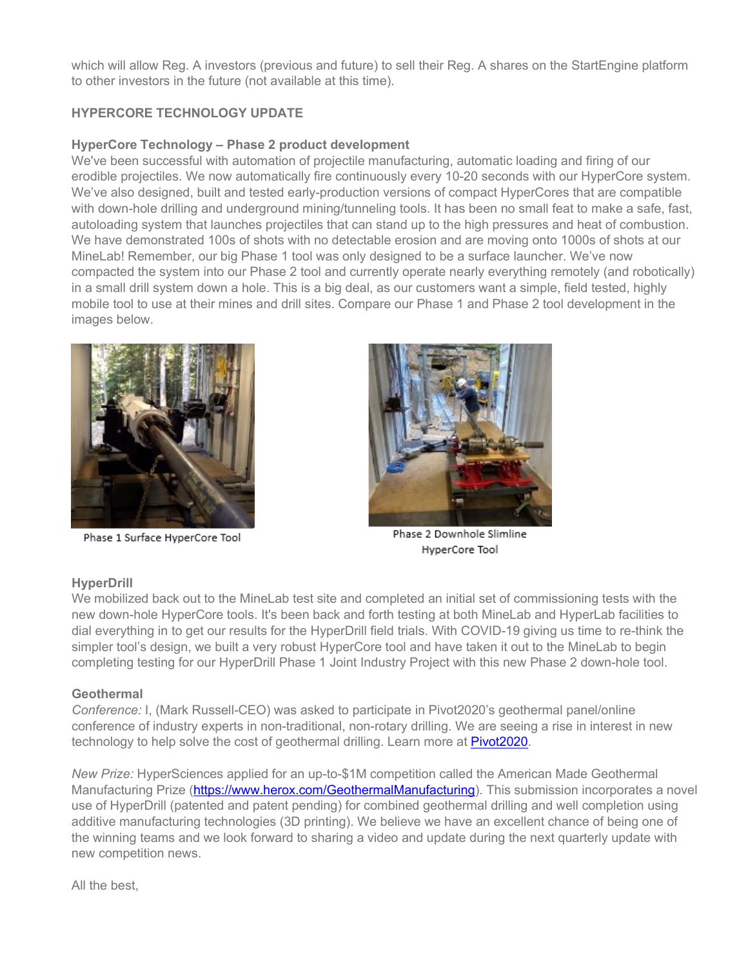which will allow Reg. A investors (previous and future) to sell their Reg. A shares on the StartEngine platform to other investors in the future (not available at this time).

# **HYPERCORE TECHNOLOGY UPDATE**

# **HyperCore Technology – Phase 2 product development**

We've been successful with automation of projectile manufacturing, automatic loading and firing of our erodible projectiles. We now automatically fire continuously every 10-20 seconds with our HyperCore system. We've also designed, built and tested early-production versions of compact HyperCores that are compatible with down-hole drilling and underground mining/tunneling tools. It has been no small feat to make a safe, fast, autoloading system that launches projectiles that can stand up to the high pressures and heat of combustion. We have demonstrated 100s of shots with no detectable erosion and are moving onto 1000s of shots at our MineLab! Remember, our big Phase 1 tool was only designed to be a surface launcher. We've now compacted the system into our Phase 2 tool and currently operate nearly everything remotely (and robotically) in a small drill system down a hole. This is a big deal, as our customers want a simple, field tested, highly mobile tool to use at their mines and drill sites. Compare our Phase 1 and Phase 2 tool development in the images below.



Phase 1 Surface HyperCore Tool



Phase 2 Downhole Slimline HyperCore Tool

# **HyperDrill**

We mobilized back out to the MineLab test site and completed an initial set of commissioning tests with the new down-hole HyperCore tools. It's been back and forth testing at both MineLab and HyperLab facilities to dial everything in to get our results for the HyperDrill field trials. With COVID-19 giving us time to re-think the simpler tool's design, we built a very robust HyperCore tool and have taken it out to the MineLab to begin completing testing for our HyperDrill Phase 1 Joint Industry Project with this new Phase 2 down-hole tool.

## **Geothermal**

*Conference:* I, (Mark Russell-CEO) was asked to participate in Pivot2020's geothermal panel/online conference of industry experts in non-traditional, non-rotary drilling. We are seeing a rise in interest in new technology to help solve the cost of geothermal drilling. Learn more at [Pivot2020.](https://hypersciences.us19.list-manage.com/track/click?u=09e70588b615f891265e95026&id=8058b9de94&e=af1d7b9804)

*New Prize:* HyperSciences applied for an up-to-\$1M competition called the American Made Geothermal Manufacturing Prize [\(https://www.herox.com/GeothermalManufacturing\)](https://hypersciences.us19.list-manage.com/track/click?u=09e70588b615f891265e95026&id=9c40a78f5b&e=af1d7b9804). This submission incorporates a novel use of HyperDrill (patented and patent pending) for combined geothermal drilling and well completion using additive manufacturing technologies (3D printing). We believe we have an excellent chance of being one of the winning teams and we look forward to sharing a video and update during the next quarterly update with new competition news.

All the best,